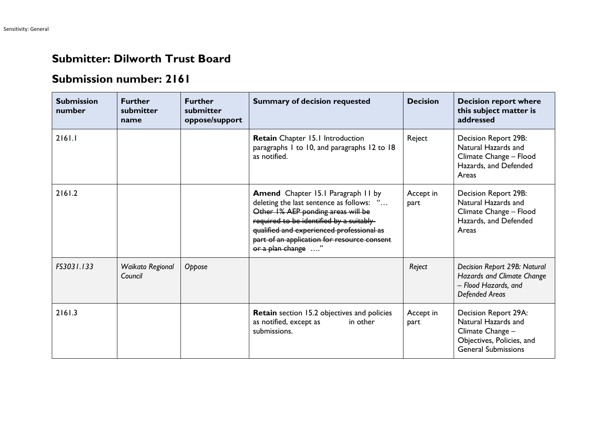## **Submitter: Dilworth Trust Board**

## **Submission number: 2161**

| <b>Submission</b><br>number | <b>Further</b><br>submitter<br>name | <b>Further</b><br>submitter<br>oppose/support | <b>Summary of decision requested</b>                                                                                                                                                                                                                                                      | <b>Decision</b>   | <b>Decision report where</b><br>this subject matter is<br>addressed                                                        |
|-----------------------------|-------------------------------------|-----------------------------------------------|-------------------------------------------------------------------------------------------------------------------------------------------------------------------------------------------------------------------------------------------------------------------------------------------|-------------------|----------------------------------------------------------------------------------------------------------------------------|
| 2161.1                      |                                     |                                               | Retain Chapter 15.1 Introduction<br>paragraphs 1 to 10, and paragraphs 12 to 18<br>as notified.                                                                                                                                                                                           | Reject            | Decision Report 29B:<br>Natural Hazards and<br>Climate Change - Flood<br>Hazards, and Defended<br>Areas                    |
| 2161.2                      |                                     |                                               | <b>Amend</b> Chapter 15.1 Paragraph 11 by<br>deleting the last sentence as follows: "<br>Other 1% AEP ponding areas will be<br>required to be identified by a suitably-<br>qualified and experienced professional as<br>part of an application for resource consent<br>or a plan change " | Accept in<br>part | Decision Report 29B:<br>Natural Hazards and<br>Climate Change - Flood<br>Hazards, and Defended<br>Areas                    |
| FS3031.133                  | Waikato Regional<br>Council         | Oppose                                        |                                                                                                                                                                                                                                                                                           | Reject            | Decision Report 29B: Natural<br>Hazards and Climate Change<br>- Flood Hazards, and<br><b>Defended Areas</b>                |
| 2161.3                      |                                     |                                               | <b>Retain</b> section 15.2 objectives and policies<br>as notified, except as<br>in other<br>submissions.                                                                                                                                                                                  | Accept in<br>part | Decision Report 29A:<br>Natural Hazards and<br>Climate Change -<br>Objectives, Policies, and<br><b>General Submissions</b> |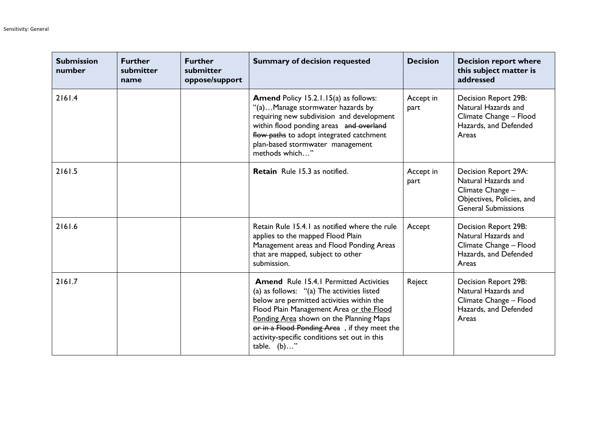| <b>Submission</b><br>number | <b>Further</b><br>submitter<br>name | <b>Further</b><br>submitter<br>oppose/support | <b>Summary of decision requested</b>                                                                                                                                                                                                                                                                                                           | <b>Decision</b>   | <b>Decision report where</b><br>this subject matter is<br>addressed                                                        |
|-----------------------------|-------------------------------------|-----------------------------------------------|------------------------------------------------------------------------------------------------------------------------------------------------------------------------------------------------------------------------------------------------------------------------------------------------------------------------------------------------|-------------------|----------------------------------------------------------------------------------------------------------------------------|
| 2161.4                      |                                     |                                               | <b>Amend Policy 15.2.1.15(a) as follows:</b><br>"(a)Manage stormwater hazards by<br>requiring new subdivision and development<br>within flood ponding areas and overland<br>flow paths to adopt integrated catchment<br>plan-based stormwater management<br>methods which"                                                                     | Accept in<br>part | Decision Report 29B:<br>Natural Hazards and<br>Climate Change - Flood<br>Hazards, and Defended<br>Areas                    |
| 2161.5                      |                                     |                                               | <b>Retain</b> Rule 15.3 as notified.                                                                                                                                                                                                                                                                                                           | Accept in<br>part | Decision Report 29A:<br>Natural Hazards and<br>Climate Change -<br>Objectives, Policies, and<br><b>General Submissions</b> |
| 2161.6                      |                                     |                                               | Retain Rule 15.4.1 as notified where the rule<br>applies to the mapped Flood Plain<br>Management areas and Flood Ponding Areas<br>that are mapped, subject to other<br>submission.                                                                                                                                                             | Accept            | Decision Report 29B:<br>Natural Hazards and<br>Climate Change - Flood<br>Hazards, and Defended<br>Areas                    |
| 2161.7                      |                                     |                                               | <b>Amend Rule 15.4.1 Permitted Activities</b><br>(a) as follows: "(a) The activities listed<br>below are permitted activities within the<br>Flood Plain Management Area or the Flood<br>Ponding Area shown on the Planning Maps<br>or in a Flood Ponding Area, if they meet the<br>activity-specific conditions set out in this<br>table. (b)" | Reject            | Decision Report 29B:<br>Natural Hazards and<br>Climate Change - Flood<br>Hazards, and Defended<br>Areas                    |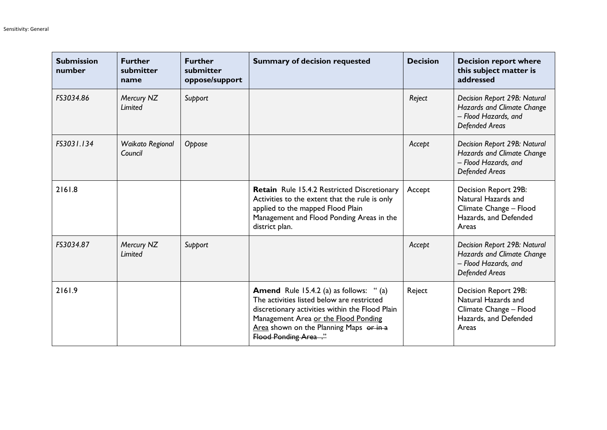| <b>Submission</b><br>number | <b>Further</b><br>submitter<br>name | <b>Further</b><br>submitter<br>oppose/support | <b>Summary of decision requested</b>                                                                                                                                                                                                                        | <b>Decision</b> | <b>Decision report where</b><br>this subject matter is<br>addressed                                                |
|-----------------------------|-------------------------------------|-----------------------------------------------|-------------------------------------------------------------------------------------------------------------------------------------------------------------------------------------------------------------------------------------------------------------|-----------------|--------------------------------------------------------------------------------------------------------------------|
| FS3034.86                   | Mercury NZ<br>Limited               | Support                                       |                                                                                                                                                                                                                                                             | Reject          | Decision Report 29B: Natural<br>Hazards and Climate Change<br>- Flood Hazards, and<br><b>Defended Areas</b>        |
| FS3031.134                  | Waikato Regional<br>Council         | Oppose                                        |                                                                                                                                                                                                                                                             | Accept          | Decision Report 29B: Natural<br><b>Hazards and Climate Change</b><br>- Flood Hazards, and<br><b>Defended Areas</b> |
| 2161.8                      |                                     |                                               | Retain Rule 15.4.2 Restricted Discretionary<br>Activities to the extent that the rule is only<br>applied to the mapped Flood Plain<br>Management and Flood Ponding Areas in the<br>district plan.                                                           | Accept          | Decision Report 29B:<br>Natural Hazards and<br>Climate Change - Flood<br>Hazards, and Defended<br>Areas            |
| FS3034.87                   | Mercury NZ<br>Limited               | Support                                       |                                                                                                                                                                                                                                                             | Accept          | Decision Report 29B: Natural<br><b>Hazards and Climate Change</b><br>- Flood Hazards, and<br><b>Defended Areas</b> |
| 2161.9                      |                                     |                                               | <b>Amend</b> Rule 15.4.2 (a) as follows: " (a)<br>The activities listed below are restricted<br>discretionary activities within the Flood Plain<br>Management Area or the Flood Ponding<br>Area shown on the Planning Maps or in a<br>Flood Ponding Area ." | Reject          | Decision Report 29B:<br>Natural Hazards and<br>Climate Change - Flood<br>Hazards, and Defended<br>Areas            |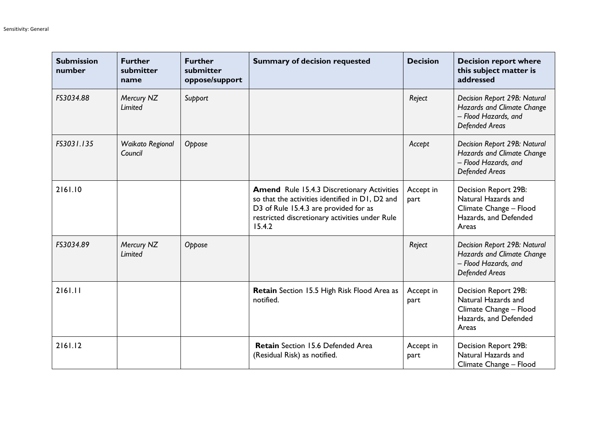| <b>Submission</b><br>number | <b>Further</b><br>submitter<br>name | <b>Further</b><br>submitter<br>oppose/support | <b>Summary of decision requested</b>                                                                                                                                                                      | <b>Decision</b>   | <b>Decision report where</b><br>this subject matter is<br>addressed                                                |
|-----------------------------|-------------------------------------|-----------------------------------------------|-----------------------------------------------------------------------------------------------------------------------------------------------------------------------------------------------------------|-------------------|--------------------------------------------------------------------------------------------------------------------|
| FS3034.88                   | Mercury NZ<br>Limited               | Support                                       |                                                                                                                                                                                                           | Reject            | Decision Report 29B: Natural<br>Hazards and Climate Change<br>- Flood Hazards, and<br><b>Defended Areas</b>        |
| FS3031.135                  | Waikato Regional<br>Council         | Oppose                                        |                                                                                                                                                                                                           | Accept            | Decision Report 29B: Natural<br>Hazards and Climate Change<br>- Flood Hazards, and<br><b>Defended Areas</b>        |
| 2161.10                     |                                     |                                               | <b>Amend</b> Rule 15.4.3 Discretionary Activities<br>so that the activities identified in D1, D2 and<br>D3 of Rule 15.4.3 are provided for as<br>restricted discretionary activities under Rule<br>15.4.2 | Accept in<br>part | Decision Report 29B:<br>Natural Hazards and<br>Climate Change - Flood<br>Hazards, and Defended<br>Areas            |
| FS3034.89                   | Mercury NZ<br>Limited               | Oppose                                        |                                                                                                                                                                                                           | Reject            | Decision Report 29B: Natural<br><b>Hazards and Climate Change</b><br>- Flood Hazards, and<br><b>Defended Areas</b> |
| 2161.11                     |                                     |                                               | Retain Section 15.5 High Risk Flood Area as<br>notified.                                                                                                                                                  | Accept in<br>part | Decision Report 29B:<br>Natural Hazards and<br>Climate Change - Flood<br>Hazards, and Defended<br>Areas            |
| 2161.12                     |                                     |                                               | <b>Retain</b> Section 15.6 Defended Area<br>(Residual Risk) as notified.                                                                                                                                  | Accept in<br>part | Decision Report 29B:<br>Natural Hazards and<br>Climate Change - Flood                                              |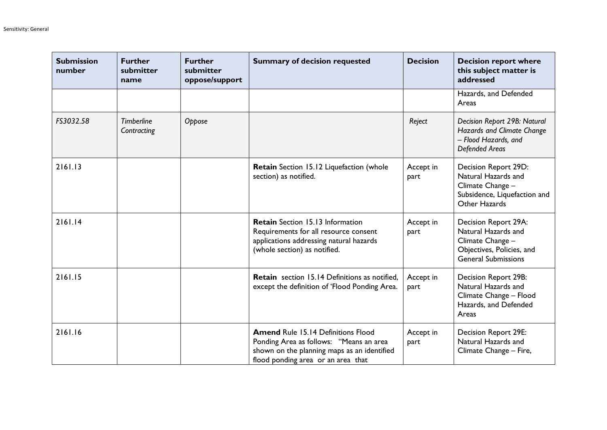| <b>Submission</b><br>number | <b>Further</b><br>submitter<br>name | <b>Further</b><br>submitter<br>oppose/support | <b>Summary of decision requested</b>                                                                                                                                      | <b>Decision</b>   | <b>Decision report where</b><br>this subject matter is<br>addressed                                                        |
|-----------------------------|-------------------------------------|-----------------------------------------------|---------------------------------------------------------------------------------------------------------------------------------------------------------------------------|-------------------|----------------------------------------------------------------------------------------------------------------------------|
|                             |                                     |                                               |                                                                                                                                                                           |                   | Hazards, and Defended<br>Areas                                                                                             |
| FS3032.58                   | <b>Timberline</b><br>Contracting    | Oppose                                        |                                                                                                                                                                           | Reject            | Decision Report 29B: Natural<br>Hazards and Climate Change<br>- Flood Hazards, and<br><b>Defended Areas</b>                |
| 2161.13                     |                                     |                                               | Retain Section 15.12 Liquefaction (whole<br>section) as notified.                                                                                                         | Accept in<br>part | Decision Report 29D:<br>Natural Hazards and<br>Climate Change -<br>Subsidence, Liquefaction and<br>Other Hazards           |
| 2161.14                     |                                     |                                               | <b>Retain</b> Section 15.13 Information<br>Requirements for all resource consent<br>applications addressing natural hazards<br>(whole section) as notified.               | Accept in<br>part | Decision Report 29A:<br>Natural Hazards and<br>Climate Change -<br>Objectives, Policies, and<br><b>General Submissions</b> |
| 2161.15                     |                                     |                                               | <b>Retain</b> section 15.14 Definitions as notified,<br>except the definition of 'Flood Ponding Area.                                                                     | Accept in<br>part | Decision Report 29B:<br>Natural Hazards and<br>Climate Change - Flood<br>Hazards, and Defended<br>Areas                    |
| 2161.16                     |                                     |                                               | <b>Amend Rule 15.14 Definitions Flood</b><br>Ponding Area as follows: "Means an area<br>shown on the planning maps as an identified<br>flood ponding area or an area that | Accept in<br>part | <b>Decision Report 29E:</b><br>Natural Hazards and<br>Climate Change - Fire,                                               |